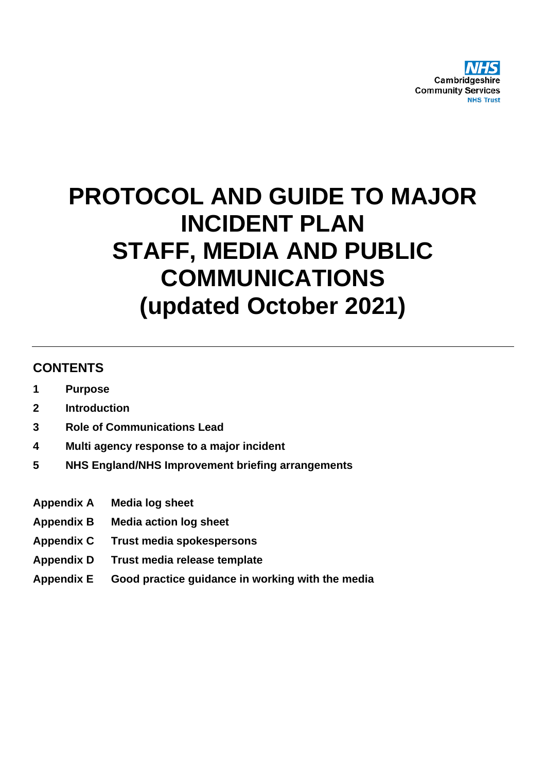

# **PROTOCOL AND GUIDE TO MAJOR INCIDENT PLAN STAFF, MEDIA AND PUBLIC COMMUNICATIONS (updated October 2021)**

## **CONTENTS**

- **1 Purpose**
- **2 Introduction**
- **3 Role of Communications Lead**
- **4 Multi agency response to a major incident**
- **5 NHS England/NHS Improvement briefing arrangements**
- **Appendix A Media log sheet**
- **Appendix B Media action log sheet**
- **Appendix C Trust media spokespersons**
- **Appendix D Trust media release template**
- **Appendix E Good practice guidance in working with the media**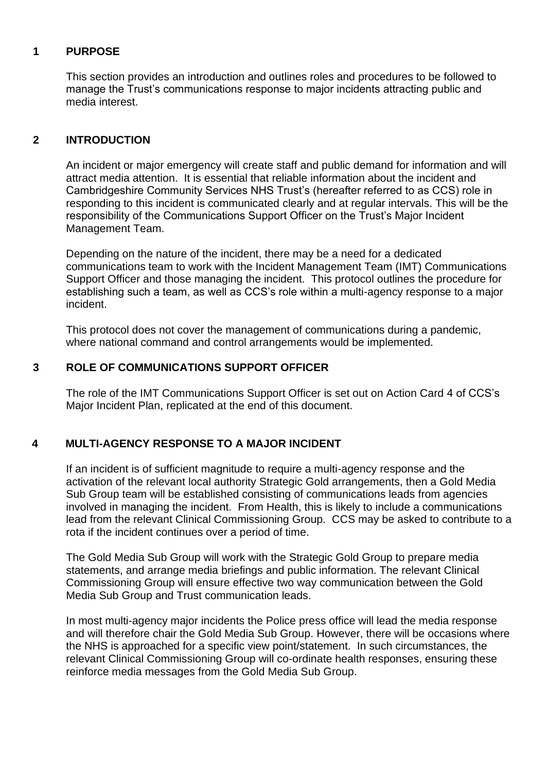#### **1 PURPOSE**

This section provides an introduction and outlines roles and procedures to be followed to manage the Trust's communications response to major incidents attracting public and media interest.

## **2 INTRODUCTION**

An incident or major emergency will create staff and public demand for information and will attract media attention. It is essential that reliable information about the incident and Cambridgeshire Community Services NHS Trust's (hereafter referred to as CCS) role in responding to this incident is communicated clearly and at regular intervals. This will be the responsibility of the Communications Support Officer on the Trust's Major Incident Management Team.

Depending on the nature of the incident, there may be a need for a dedicated communications team to work with the Incident Management Team (IMT) Communications Support Officer and those managing the incident. This protocol outlines the procedure for establishing such a team, as well as CCS's role within a multi-agency response to a major incident.

This protocol does not cover the management of communications during a pandemic, where national command and control arrangements would be implemented.

## **3 ROLE OF COMMUNICATIONS SUPPORT OFFICER**

The role of the IMT Communications Support Officer is set out on Action Card 4 of CCS's Major Incident Plan, replicated at the end of this document.

## **4 MULTI-AGENCY RESPONSE TO A MAJOR INCIDENT**

If an incident is of sufficient magnitude to require a multi-agency response and the activation of the relevant local authority Strategic Gold arrangements, then a Gold Media Sub Group team will be established consisting of communications leads from agencies involved in managing the incident. From Health, this is likely to include a communications lead from the relevant Clinical Commissioning Group. CCS may be asked to contribute to a rota if the incident continues over a period of time.

The Gold Media Sub Group will work with the Strategic Gold Group to prepare media statements, and arrange media briefings and public information. The relevant Clinical Commissioning Group will ensure effective two way communication between the Gold Media Sub Group and Trust communication leads.

In most multi-agency major incidents the Police press office will lead the media response and will therefore chair the Gold Media Sub Group. However, there will be occasions where the NHS is approached for a specific view point/statement. In such circumstances, the relevant Clinical Commissioning Group will co-ordinate health responses, ensuring these reinforce media messages from the Gold Media Sub Group.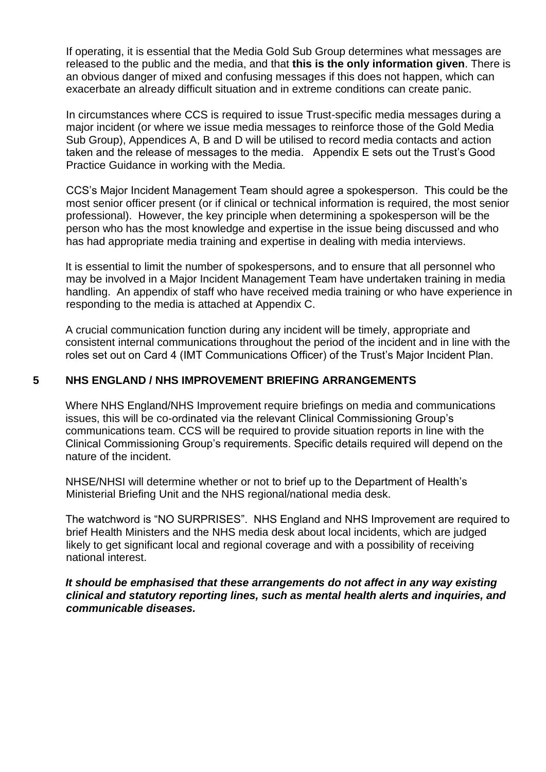If operating, it is essential that the Media Gold Sub Group determines what messages are released to the public and the media, and that **this is the only information given**. There is an obvious danger of mixed and confusing messages if this does not happen, which can exacerbate an already difficult situation and in extreme conditions can create panic.

In circumstances where CCS is required to issue Trust-specific media messages during a major incident (or where we issue media messages to reinforce those of the Gold Media Sub Group), Appendices A, B and D will be utilised to record media contacts and action taken and the release of messages to the media. Appendix E sets out the Trust's Good Practice Guidance in working with the Media.

CCS's Major Incident Management Team should agree a spokesperson. This could be the most senior officer present (or if clinical or technical information is required, the most senior professional). However, the key principle when determining a spokesperson will be the person who has the most knowledge and expertise in the issue being discussed and who has had appropriate media training and expertise in dealing with media interviews.

It is essential to limit the number of spokespersons, and to ensure that all personnel who may be involved in a Major Incident Management Team have undertaken training in media handling. An appendix of staff who have received media training or who have experience in responding to the media is attached at Appendix C.

A crucial communication function during any incident will be timely, appropriate and consistent internal communications throughout the period of the incident and in line with the roles set out on Card 4 (IMT Communications Officer) of the Trust's Major Incident Plan.

#### **5 NHS ENGLAND / NHS IMPROVEMENT BRIEFING ARRANGEMENTS**

Where NHS England/NHS Improvement require briefings on media and communications issues, this will be co-ordinated via the relevant Clinical Commissioning Group's communications team. CCS will be required to provide situation reports in line with the Clinical Commissioning Group's requirements. Specific details required will depend on the nature of the incident.

NHSE/NHSI will determine whether or not to brief up to the Department of Health's Ministerial Briefing Unit and the NHS regional/national media desk.

The watchword is "NO SURPRISES". NHS England and NHS Improvement are required to brief Health Ministers and the NHS media desk about local incidents, which are judged likely to get significant local and regional coverage and with a possibility of receiving national interest.

*It should be emphasised that these arrangements do not affect in any way existing clinical and statutory reporting lines, such as mental health alerts and inquiries, and communicable diseases.*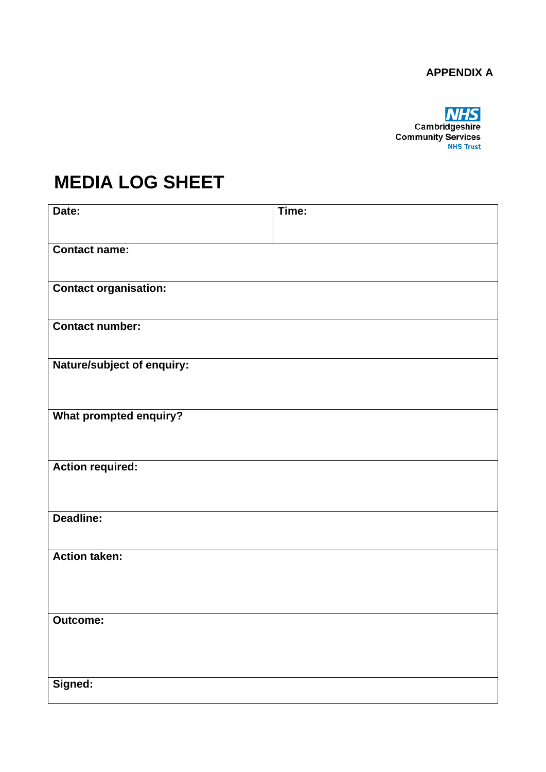## **APPENDIX A**

**MHS**<br>Cambridgeshire<br>Community Services

## **MEDIA LOG SHEET**

| Date:                        | Time: |
|------------------------------|-------|
|                              |       |
| <b>Contact name:</b>         |       |
|                              |       |
| <b>Contact organisation:</b> |       |
|                              |       |
| <b>Contact number:</b>       |       |
| Nature/subject of enquiry:   |       |
|                              |       |
|                              |       |
| What prompted enquiry?       |       |
|                              |       |
| <b>Action required:</b>      |       |
|                              |       |
|                              |       |
| Deadline:                    |       |
|                              |       |
| <b>Action taken:</b>         |       |
|                              |       |
|                              |       |
| <b>Outcome:</b>              |       |
|                              |       |
|                              |       |
| Signed:                      |       |
|                              |       |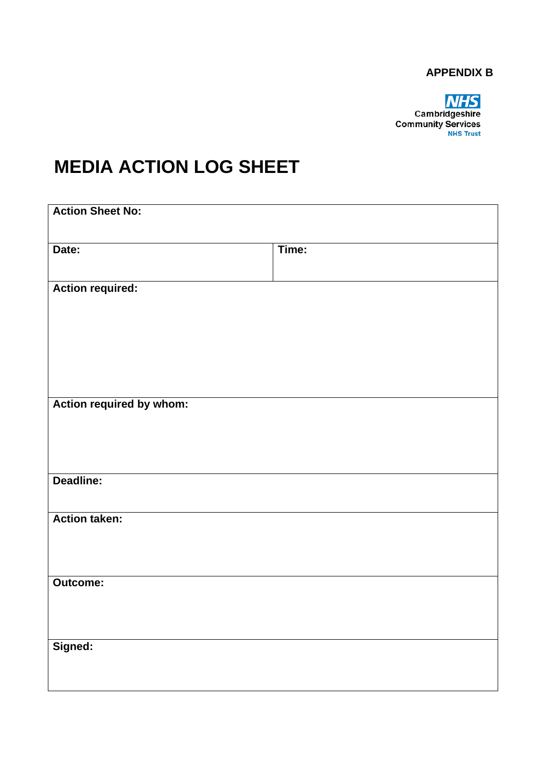#### **APPENDIX B**



## **MEDIA ACTION LOG SHEET**

| <b>Action Sheet No:</b>  |       |  |  |
|--------------------------|-------|--|--|
| Date:                    | Time: |  |  |
| <b>Action required:</b>  |       |  |  |
| Action required by whom: |       |  |  |
| Deadline:                |       |  |  |
| <b>Action taken:</b>     |       |  |  |
| Outcome:                 |       |  |  |
| Signed:                  |       |  |  |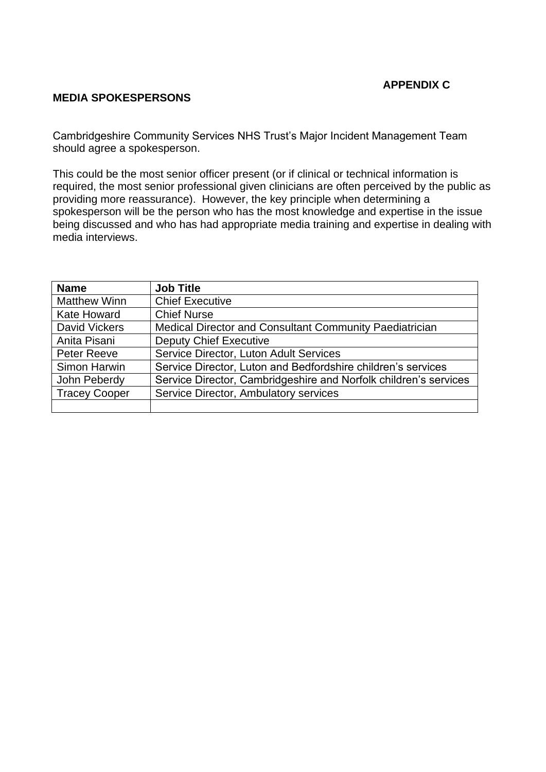#### **APPENDIX C**

#### **MEDIA SPOKESPERSONS**

Cambridgeshire Community Services NHS Trust's Major Incident Management Team should agree a spokesperson.

This could be the most senior officer present (or if clinical or technical information is required, the most senior professional given clinicians are often perceived by the public as providing more reassurance). However, the key principle when determining a spokesperson will be the person who has the most knowledge and expertise in the issue being discussed and who has had appropriate media training and expertise in dealing with media interviews.

| <b>Name</b>          | <b>Job Title</b>                                                 |
|----------------------|------------------------------------------------------------------|
| <b>Matthew Winn</b>  | <b>Chief Executive</b>                                           |
| <b>Kate Howard</b>   | <b>Chief Nurse</b>                                               |
| <b>David Vickers</b> | Medical Director and Consultant Community Paediatrician          |
| Anita Pisani         | <b>Deputy Chief Executive</b>                                    |
| Peter Reeve          | Service Director, Luton Adult Services                           |
| Simon Harwin         | Service Director, Luton and Bedfordshire children's services     |
| John Peberdy         | Service Director, Cambridgeshire and Norfolk children's services |
| <b>Tracey Cooper</b> | Service Director, Ambulatory services                            |
|                      |                                                                  |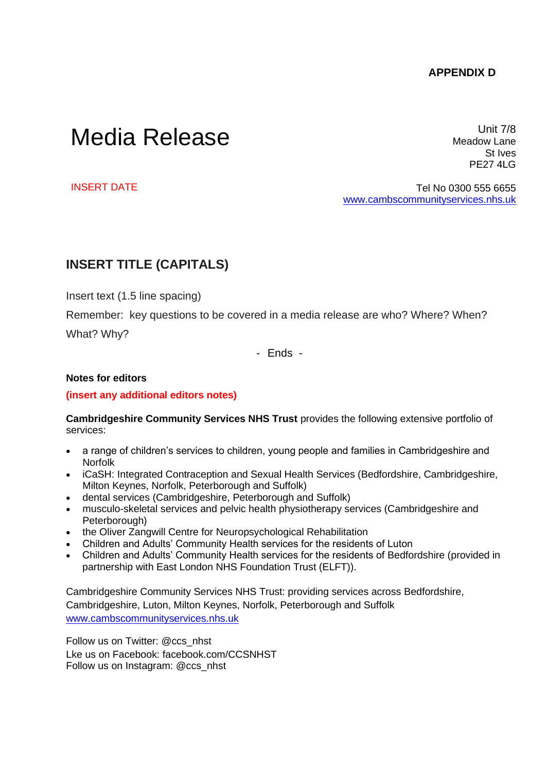#### **APPENDIX D**

# Media Release

Unit 7/8 Meadow Lane St Ives PE27 4LG

INSERT DATE

Tel No 0300 555 6655 [www.cambscommunityservices.nhs.uk](http://www.cambscommunityservices.nhs.uk/)

#### **INSERT TITLE (CAPITALS)**

Insert text (1.5 line spacing)

Remember: key questions to be covered in a media release are who? Where? When?

What? Why?

- Ends -

#### **Notes for editors**

#### **(insert any additional editors notes)**

**Cambridgeshire Community Services NHS Trust** provides the following extensive portfolio of services:

- a range of children's services to children, young people and families in Cambridgeshire and Norfolk
- iCaSH: Integrated Contraception and Sexual Health Services (Bedfordshire, Cambridgeshire, Milton Keynes, Norfolk, Peterborough and Suffolk)
- dental services (Cambridgeshire, Peterborough and Suffolk)
- musculo-skeletal services and pelvic health physiotherapy services (Cambridgeshire and Peterborough)
- the Oliver Zangwill Centre for Neuropsychological Rehabilitation
- Children and Adults' Community Health services for the residents of Luton
- Children and Adults' Community Health services for the residents of Bedfordshire (provided in partnership with East London NHS Foundation Trust (ELFT)).

Cambridgeshire Community Services NHS Trust: providing services across Bedfordshire, Cambridgeshire, Luton, Milton Keynes, Norfolk, Peterborough and Suffolk [www.cambscommunityservices.nhs.uk](http://www.cambscommunityservices.nhs.uk/) 

Follow us on Twitter: [@ccs\\_nhst](https://twitter.com/ccs_nhst) Lke us on Facebook: [facebook.com/CCSNHST](https://www.facebook.com/CCSNHST) Follow us on Instagram: @ccs\_nhst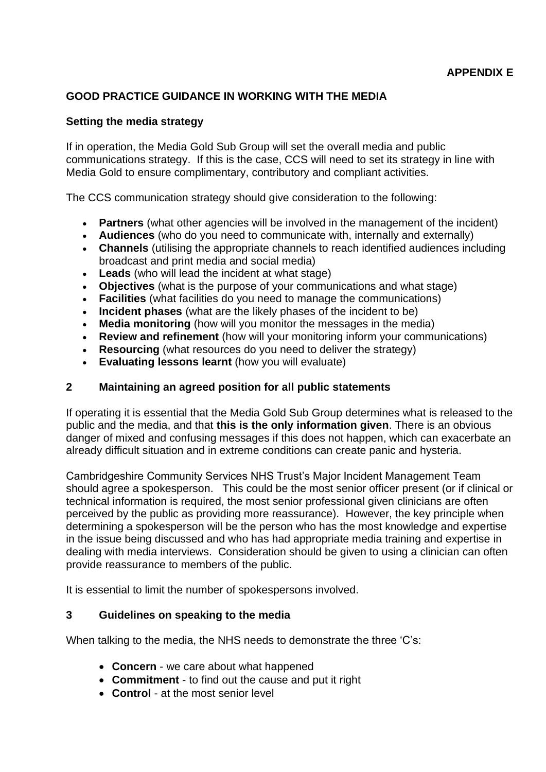## **GOOD PRACTICE GUIDANCE IN WORKING WITH THE MEDIA**

#### **Setting the media strategy**

If in operation, the Media Gold Sub Group will set the overall media and public communications strategy. If this is the case, CCS will need to set its strategy in line with Media Gold to ensure complimentary, contributory and compliant activities.

The CCS communication strategy should give consideration to the following:

- **Partners** (what other agencies will be involved in the management of the incident)
- **Audiences** (who do you need to communicate with, internally and externally)
- **Channels** (utilising the appropriate channels to reach identified audiences including broadcast and print media and social media)
- **Leads** (who will lead the incident at what stage)
- **Objectives** (what is the purpose of your communications and what stage)
- **Facilities** (what facilities do you need to manage the communications)
- **Incident phases** (what are the likely phases of the incident to be)
- **Media monitoring** (how will you monitor the messages in the media)
- **Review and refinement** (how will your monitoring inform your communications)
- **Resourcing** (what resources do you need to deliver the strategy)
- **Evaluating lessons learnt** (how you will evaluate)

#### **2 Maintaining an agreed position for all public statements**

If operating it is essential that the Media Gold Sub Group determines what is released to the public and the media, and that **this is the only information given**. There is an obvious danger of mixed and confusing messages if this does not happen, which can exacerbate an already difficult situation and in extreme conditions can create panic and hysteria.

Cambridgeshire Community Services NHS Trust's Major Incident Management Team should agree a spokesperson. This could be the most senior officer present (or if clinical or technical information is required, the most senior professional given clinicians are often perceived by the public as providing more reassurance). However, the key principle when determining a spokesperson will be the person who has the most knowledge and expertise in the issue being discussed and who has had appropriate media training and expertise in dealing with media interviews. Consideration should be given to using a clinician can often provide reassurance to members of the public.

It is essential to limit the number of spokespersons involved.

#### **3 Guidelines on speaking to the media**

When talking to the media, the NHS needs to demonstrate the three 'C's:

- **Concern** we care about what happened
- **Commitment**  to find out the cause and put it right
- **Control** at the most senior level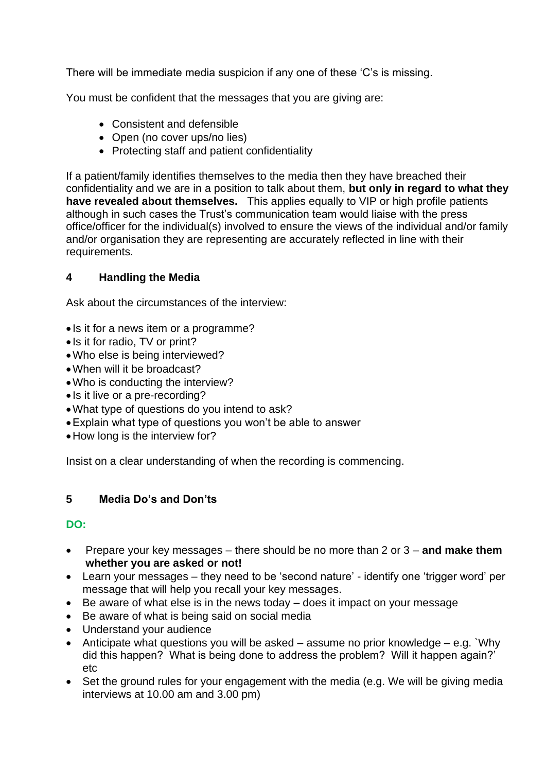There will be immediate media suspicion if any one of these 'C's is missing.

You must be confident that the messages that you are giving are:

- Consistent and defensible
- Open (no cover ups/no lies)
- Protecting staff and patient confidentiality

If a patient/family identifies themselves to the media then they have breached their confidentiality and we are in a position to talk about them, **but only in regard to what they have revealed about themselves.** This applies equally to VIP or high profile patients although in such cases the Trust's communication team would liaise with the press office/officer for the individual(s) involved to ensure the views of the individual and/or family and/or organisation they are representing are accurately reflected in line with their requirements.

## **4 Handling the Media**

Ask about the circumstances of the interview:

- Is it for a news item or a programme?
- Is it for radio, TV or print?
- •Who else is being interviewed?
- •When will it be broadcast?
- •Who is conducting the interview?
- Is it live or a pre-recording?
- •What type of questions do you intend to ask?
- •Explain what type of questions you won't be able to answer
- How long is the interview for?

Insist on a clear understanding of when the recording is commencing.

#### **5 Media Do's and Don'ts**

#### **DO:**

- Prepare your key messages there should be no more than 2 or 3 **and make them whether you are asked or not!**
- Learn your messages they need to be 'second nature' identify one 'trigger word' per message that will help you recall your key messages.
- Be aware of what else is in the news today does it impact on your message
- Be aware of what is being said on social media
- Understand your audience
- Anticipate what questions you will be asked  $-$  assume no prior knowledge  $-$  e.g. `Why did this happen? What is being done to address the problem? Will it happen again?' etc
- Set the ground rules for your engagement with the media (e.g. We will be giving media interviews at 10.00 am and 3.00 pm)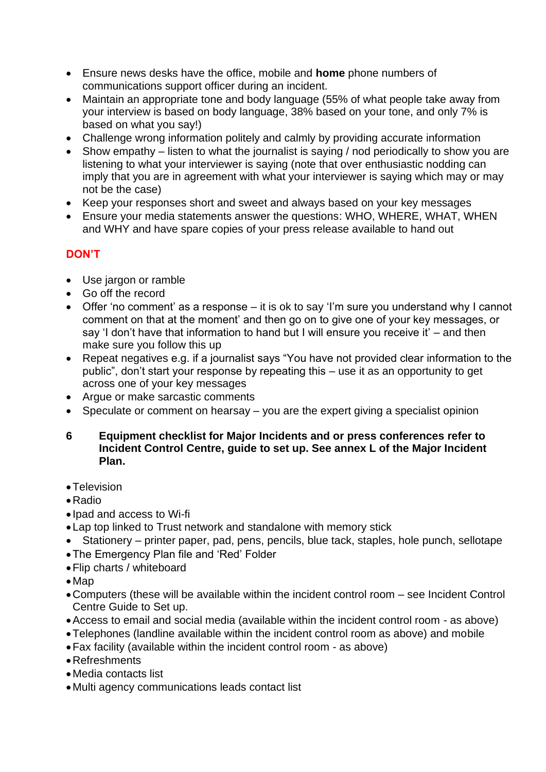- Ensure news desks have the office, mobile and **home** phone numbers of communications support officer during an incident.
- Maintain an appropriate tone and body language (55% of what people take away from your interview is based on body language, 38% based on your tone, and only 7% is based on what you say!)
- Challenge wrong information politely and calmly by providing accurate information
- Show empathy listen to what the journalist is saying / nod periodically to show you are listening to what your interviewer is saying (note that over enthusiastic nodding can imply that you are in agreement with what your interviewer is saying which may or may not be the case)
- Keep your responses short and sweet and always based on your key messages
- Ensure your media statements answer the questions: WHO, WHERE, WHAT, WHEN and WHY and have spare copies of your press release available to hand out

## **DON'T**

- Use jargon or ramble
- Go off the record
- Offer 'no comment' as a response it is ok to say 'I'm sure you understand why I cannot comment on that at the moment' and then go on to give one of your key messages, or say 'I don't have that information to hand but I will ensure you receive it' – and then make sure you follow this up
- Repeat negatives e.g. if a journalist says "You have not provided clear information to the public", don't start your response by repeating this – use it as an opportunity to get across one of your key messages
- Argue or make sarcastic comments
- Speculate or comment on hearsay you are the expert giving a specialist opinion
- **6 Equipment checklist for Major Incidents and or press conferences refer to Incident Control Centre, guide to set up. See annex L of the Major Incident Plan.**
- •Television
- •Radio
- Ipad and access to Wi-fi
- Lap top linked to Trust network and standalone with memory stick
- Stationery printer paper, pad, pens, pencils, blue tack, staples, hole punch, sellotape
- •The Emergency Plan file and 'Red' Folder
- •Flip charts / whiteboard
- Map
- •Computers (these will be available within the incident control room see Incident Control Centre Guide to Set up.
- •Access to email and social media (available within the incident control room as above)
- •Telephones (landline available within the incident control room as above) and mobile
- •Fax facility (available within the incident control room as above)
- •Refreshments
- Media contacts list
- Multi agency communications leads contact list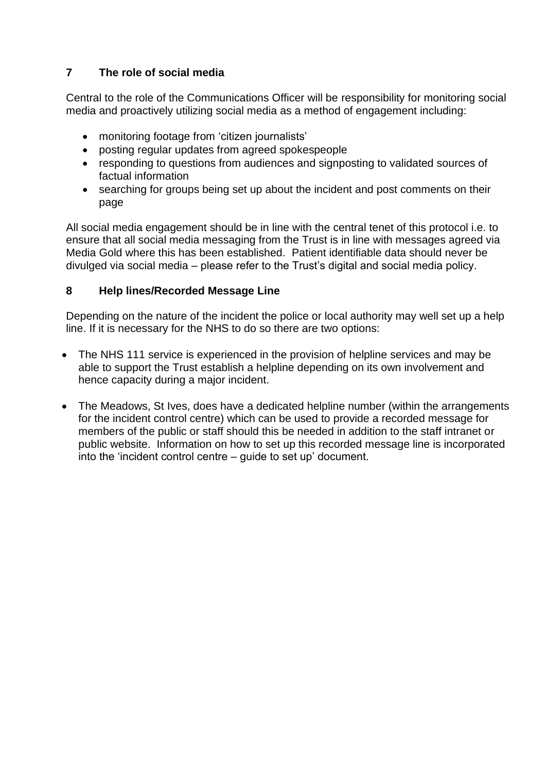## **7 The role of social media**

Central to the role of the Communications Officer will be responsibility for monitoring social media and proactively utilizing social media as a method of engagement including:

- monitoring footage from 'citizen journalists'
- posting regular updates from agreed spokespeople
- responding to questions from audiences and signposting to validated sources of factual information
- searching for groups being set up about the incident and post comments on their page

All social media engagement should be in line with the central tenet of this protocol i.e. to ensure that all social media messaging from the Trust is in line with messages agreed via Media Gold where this has been established. Patient identifiable data should never be divulged via social media – please refer to the Trust's digital and social media policy.

#### **8 Help lines/Recorded Message Line**

Depending on the nature of the incident the police or local authority may well set up a help line. If it is necessary for the NHS to do so there are two options:

- The NHS 111 service is experienced in the provision of helpline services and may be able to support the Trust establish a helpline depending on its own involvement and hence capacity during a major incident.
- The Meadows, St Ives, does have a dedicated helpline number (within the arrangements for the incident control centre) which can be used to provide a recorded message for members of the public or staff should this be needed in addition to the staff intranet or public website. Information on how to set up this recorded message line is incorporated into the 'incident control centre – guide to set up' document.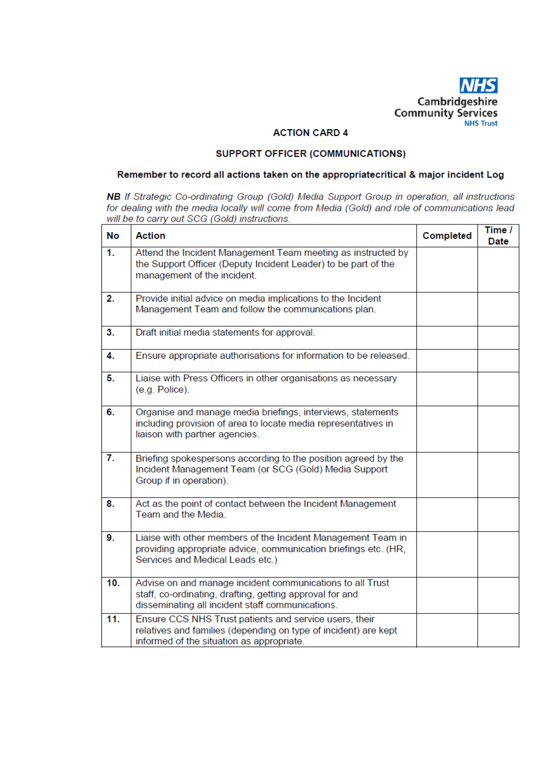

#### **ACTION CARD 4**

#### SUPPORT OFFICER (COMMUNICATIONS)

#### Remember to record all actions taken on the appropriatecritical & major incident Log

NB If Strategic Co-ordinating Group (Gold) Media Support Group in operation, all instructions for dealing with the media locally will come from Media (Gold) and role of communications lead will be to carry out SCG (Gold) instructions.

| <b>No</b>        | <b>Action</b>                                                                                                                                                             | Completed | Time /<br>Date |
|------------------|---------------------------------------------------------------------------------------------------------------------------------------------------------------------------|-----------|----------------|
| 1.               | Attend the Incident Management Team meeting as instructed by<br>the Support Officer (Deputy Incident Leader) to be part of the<br>management of the incident.             |           |                |
| 2.               | Provide initial advice on media implications to the Incident<br>Management Team and follow the communications plan.                                                       |           |                |
| 3.               | Draft initial media statements for approval.                                                                                                                              |           |                |
| 4.               | Ensure appropriate authorisations for information to be released.                                                                                                         |           |                |
| 5.               | Liaise with Press Officers in other organisations as necessary<br>(e.g. Police).                                                                                          |           |                |
| 6.               | Organise and manage media briefings, interviews, statements<br>including provision of area to locate media representatives in<br>liaison with partner agencies.           |           |                |
| $\overline{7}$ . | Briefing spokespersons according to the position agreed by the<br>Incident Management Team (or SCG (Gold) Media Support<br>Group if in operation).                        |           |                |
| 8.               | Act as the point of contact between the Incident Management<br>Team and the Media.                                                                                        |           |                |
| 9.               | Liaise with other members of the Incident Management Team in<br>providing appropriate advice, communication briefings etc. (HR,<br>Services and Medical Leads etc.)       |           |                |
| 10.              | Advise on and manage incident communications to all Trust<br>staff, co-ordinating, drafting, getting approval for and<br>disseminating all incident staff communications. |           |                |
| 11.              | Ensure CCS NHS Trust patients and service users, their<br>relatives and families (depending on type of incident) are kept<br>informed of the situation as appropriate.    |           |                |